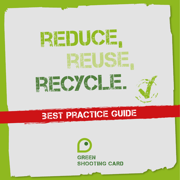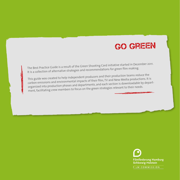

The Best Practice Guide is a result of the Green Shooting Card initiative started in December 2011. It is a collection of alternative strategies and recommendations for green film making.

This guide was created to help independent producers and their production teams reduce the carbon emissions and environmental impacts of their film, TV and New Media productions. It is organized into production phases and departments, and each section is downloadable by department, facilitating crew members to focus on the green strategies relevant to their needs.

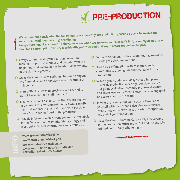

**We recommend considering the following steps at an early pre-production phase to be sure to involve and sensitize all staff members to green filming. Many environmentally harmful behaviours occur when we are unaware of, or can't find, or simply do not have time for a better option. The key is to identify priorities and challenges before production begins.**

- <sup>O</sup> Always communicate your plans on green film making in a positive manner and straight from the beginning, and involve all the heads of departments in the planning process.
- <sup>O</sup> Make the commitment early, and be sure to engage the filmmakers and financiers - whether studio or independent.
- <sup>O</sup> Start with little steps to provide reliability and so as not to overburden staff members.
- <sup>O</sup> Elect one responsible person within the production as a contact for environmental issues who can offer help and support in practical manners. If possible hire a "green runner" during the production.
- <sup>O</sup> Provide information on current environmental labels in the fields of food, cosmetic, fabrics, energy an<sup>d</sup> electronics. Further information can be found at:

**www.gruenerstromlabel.de www.ecotopten.de/start.php www.world-of-eco-fashion.de www.kontrollierte-naturkosmetik.de/ hersteller\_naturkosmetik.htm**

- <sup>O</sup> Contact the regional or local water management to discuss possible co-operations.
- <sup>O</sup> Hold a kick-off meeting with cast and crew to communicate green goals and strategies for the production.
- <sup>O</sup> Include green updates in daily scheduling plans or weekly production meetings. Consider doing a mid-point evaluation: compute progress statistics and share lessons learned to keep the crew engage<sup>d</sup> and to re-energize the team.
- <sup>O</sup> Inform the team about your success. Familiarize yourself with the carbon calculator and consider measuring and offsetting your carbon footprint at the end of your production.
- <sup>O</sup> Place the Green Shooting Card visibly for everyone in the production office and on Set and use the label printed on the daily scheduling list.

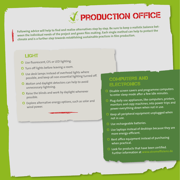

**Following advice will help to find and realize alternatives step by step. Be sure to keep a realistic balance between the individual needs of the project and green film making. Each single method can help to protect the climate and is a further step towards establishing sustainable practices in film production.**

#### **LIGHT**

- <sup>O</sup> Use fluorescent, CFL or LED lighting.
- O Turn off lights before leaving a room.
- <sup>O</sup> Use desk lamps instead of overhead lights where possible, and keep all non-essential lighting turned off.
- <sup>O</sup> Motion and daylight detectors can help to avoid unnecessary lightning.
- <sup>O</sup> Raise the blinds and work by daylight whenever possible.
- <sup>O</sup> Explore alternative energy options, such as solar and wind power.

#### Computers and **ELECTRONICS**

- <sup>O</sup> Disable screen savers and programme computers to enter sleep mode after a few idle minutes.
- <sup>O</sup> Plug daily use appliances, like computers, printers, monitors and copy machines, into power trips an<sup>d</sup> power everything down when not in use.
- <sup>O</sup> Keep all peripheral equipment unplugged when not in use.
- O Use rechargeable batteries.
- O Use laptops instead of desktops because they are more energy-efficient.
- <sup>O</sup> Rent office equipment instead of purchasing when practical.
- <sup>O</sup> Look for products that have been certified. Further information at **www.stromeffizienz.de**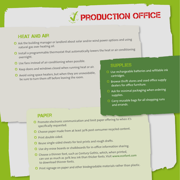# **T** PRODUCTION OFFICE

#### **HEAT AND AIR**

- <sup>O</sup> Ask the building manager or landlord about solar and/or wind power options and using natural gas over heating oil.
- <sup>O</sup> Install a programmable thermostat that automatically lowers the heat or air conditioning overnight.
- <sup>O</sup> Use fans instead of air conditioning when possible.
- <sup>O</sup> Keep doors and windows closed when running heat or air.
- <sup>O</sup> Avoid using space heaters, but when they are unavoidable, be sure to turn them off before leaving the room.

#### **SUPPLIES**

- <sup>O</sup> Use rechargeable batteries and refillable ink cartridges.
- <sup>O</sup> Browse thrift stores and used office supply dealers for office furniture.
- <sup>O</sup> Ask for minimal packaging when ordering supplies.
- <sup>O</sup> Carry reusable bags for all shopping runs and errands.

#### **PAPER**

- <sup>O</sup> Promote electronic communication and limit paper offering to when it's specifically requested.
- <sup>O</sup> Choose paper made from at least 30% post consumer recycled content.
- O Print double-sided.
- <sup>O</sup> Reuse single-sided sheets for test prints and rough drafts.
- <sup>O</sup> Use dry-erase boards or chalkboards for in-office information sharing.
- <sup>O</sup> Choose a thinner font, such as Century Gothic, which, when printed,
- can use as much as 30% less ink than thicker fonts. Visit **www.ecofont.com**  to download thinner fonts.
- <sup>O</sup> Print signage on paper and other biodegradable materials rather than plastic.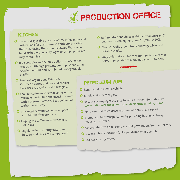## *J* PRODUCTION OFFICE

#### **KITCHEN**

- <sup>O</sup> Use non-disposable plates, glasses, coffee mugs an<sup>d</sup> cutlery. Look for used items at thrift stores rather than purchasing them new. Be aware that secondhand dishes with novelty logos or chipping images may contain lead.
- <sup>O</sup> If disposables are the only option, choose paper products with high percentages of post-consumer recycled content and corn-based biodegradable plastics.
- <sup>O</sup> Purchase organic and Fair Trade Certified™ coffee and tea, and choose bulk sizes to avoid excess packaging.
- <sup>O</sup> Look for coffeemakers that come with a reusable mesh filter, and invest in a unit with a thermal carafe to keep coffee hot without electricity.
- <sup>O</sup> If using paper filters, choose recycled and chlorine-free products.
- <sup>O</sup> Unplug the coffee maker when it is not in use.
- <sup>O</sup> Regularly defrost refrigerators an<sup>d</sup> freezers and check the temperature.
- <sup>O</sup> Refrigerators should be no higher than 40ºF (5ºC) and freezers no higher than 0ºF (minus 18ºC).
- <sup>O</sup> Choose locally grown fruits and vegetables and organic snacks.
- <sup>O</sup> Only order takeout lunches from restaurants that serve in recyclable or biodegradable containers.

#### PETROLEUM FUEL

- <sup>O</sup> Rent hybrid or electric vehicles.
- O Employ bike messengers.
- <sup>O</sup> Encourage employees to bike to work. Further information at: **www.nationaler-radverkehrsplan.de/fahrradverleihsysteme/**
- <sup>O</sup> For those that must drive, recommend that they carpool.
- <sup>O</sup> Promote public transportation by providing bus and subway maps at the office.
- <sup>O</sup> Co-operate with a taxi company that provides environmental cars.
- <sup>O</sup> Use train transportation for longer distances if possible.
- O Use car-sharing offers.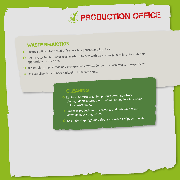

#### **WASTE REDUCTION**

- <sup>O</sup> Ensure staff is informed of office recycling policies and facilities.
- O Set up recycling bins next to all trash containers with clear signage detailing the materials appropriate for each bin.
- <sup>O</sup> If possible, compost food and biodegradable waste. Contact the local waste management.
- <sup>O</sup> Ask suppliers to take back packaging for larger items.

#### **CLEANING**

- <sup>O</sup> Replace chemical cleaning products with non-toxic, biodegradable alternatives that will not pollute indoor air or local waterways.
- <sup>O</sup> Purchase products in concentrates and bulk sizes to cut down on packaging waste.
- <sup>O</sup> Use natural sponges and cloth rags instead of paper towels.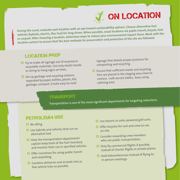

**During the scout, evaluate each location with an eye toward sustainability options. Choose alternative fuel vehicles (hybrids, electric, flex fuel) for long drives. When possible, scout locations via public transit, bicycle, foot or carpool. After choosing a location, determine ways to reduce your environmental impact there. Work with the location contact to ensure that the best methods for preservation and protection of the site are followed.**

#### Location Prep

- <sup>O</sup> Try to make all signage out of recycled or recyclable materials. Use only elastic bands or string to hang signs on trees.
- <sup>O</sup> Set up garbage and recycling stations separated by paper, bottles, plastic, foil, garbage, compost. Create easy-to-read

signage that details proper practices for composting and recycling .

<sup>O</sup> Ensure that sufficient waste and recycling bins are placed in the staging area close to camera, craft service tables, base camp, catering area.

#### Transport

Transportation is one of the most significant departments for targeting reductions.

#### PETROLEUM USE

- O No idling.
- <sup>O</sup> Use hybrids and vehicles that run on alternative fuel.
- <sup>O</sup> Have the transportation department/ captain keep track of the fuel inventory and monitor their use in specified vehicles.
- <sup>O</sup> Offer incentives for using public transit and carpooling.
- <sup>O</sup> Combine deliveries and errands into as few vehicle trips as possible.
- <sup>O</sup> Use electric or solar-powered golf carts.
- <sup>O</sup> Offer bicycles for cast and crew to use on site.
- <sup>O</sup> Consider rewarding crew members who use public transportation.
- <sup>O</sup> Only fly commercial flights if possible, instead of charter flights or private planes.
- <sup>O</sup> Hold teleconferences instead of flying to in-person meetings.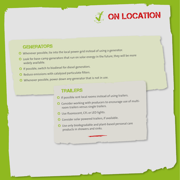

#### **GENERATORS**

- <sup>O</sup> Whenever possible, tie into the local power grid instead of using a generator.
- <sup>O</sup> Look for base-camp generators that run on solar energy in the future, they will be more widely available.
- <sup>O</sup> If possible, switch to biodiesel for diesel generators.
- <sup>O</sup> Reduce emissions with catalyzed particulate filters.
- <sup>O</sup> Whenever possible, power down any generator that is not in use.

#### **TRAILERS**

- <sup>O</sup> If possible rent local rooms instead of using trailers.
- <sup>O</sup> Consider working with producers to encourage use of multiroom trailers versus single trailers.
- <sup>O</sup> Use fluorescent, CFL or LED lights.
- <sup>O</sup> Consider solar powered trailers, if available.
- <sup>O</sup> Use only biodegradable and plant-based personal care products in showers and sinks.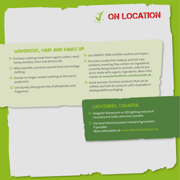**J** ON LOCATION

### Wardrobe, Hair and Make Up

- <sup>O</sup> Purchase clothing made from organic cotton, wool, hemp, bamboo, linen and ahimsa silk.
- <sup>O</sup> When possible, purchase second-hand and vintage clothing.
- <sup>O</sup> Donate no longer needed clothing at the end of production.
- <sup>O</sup> Use laundry detergents free of phosphates and fragrances.
- <sup>O</sup> Use ENERGY STAR certified washers and dryers.
- <sup>O</sup> Purchase cruelty-free makeup and hair care products, meaning they contain no ingredients currently being tested on animals. Look for products made with organic ingredients. More information at **www.kontrollierte-naturkosmetik.de .**
- <sup>O</sup> Avoid aerosols. Purchase products that can be refilled, and look for products with recyclable or biodegradable packaging.

### LIGHTNING, CAMERA

- <sup>O</sup> Integrate fluorescent or LED lighting instead of incandescent bulbs whenever possible.
- <sup>O</sup> Use local electrical power instead of generators if possible. More information at **www.oekostromanbieter.de.**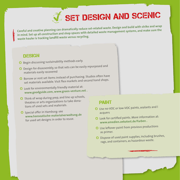

**Careful and creative planning can dramatically reduce set-related waste. Design and build with strike and wrap in mind. Set up all construction and shop spaces with detailed waste management systems, and make sure the waste hauler is tracking landfill waste versus recycling.**

#### **DESIGN**

- <sup>O</sup> Begin discussing sustainability methods early.
- <sup>O</sup> Design for disassembly, so that sets can be easily repurposed and materials easily recovere<sup>d</sup>
- <sup>O</sup> Borrow or rent set items instead of purchasing. Studios often have set materials available. Visit flea markets and second hand shops.
- <sup>O</sup> Look for environmentally friendly material at: **www.goodguide.com, www.green-venture.net .**
- <sup>O</sup> Think of wrap during prep, and line up schools, theatres or arts organizations to take donations of used sets and materials.
- <sup>O</sup> Special offer in Hamburg: see **www.hanseatische-materialverwaltung.de** for used set designs in order to reuse.

#### **PAINT**

- <sup>O</sup> Use no-VOC or low-VOC paints, sealants and l acquers
- <sup>O</sup> Look for certified paints. More information at: **www.emedien.oekotest.de/Farben .**
- <sup>O</sup> Use leftover paint from previous productions as primer.
- <sup>O</sup> Dispose of used paint supplies, including brushes, rags, and containers, as hazardous waste.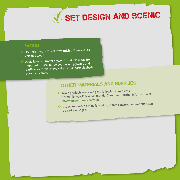

#### **WOOD**

- <sup>O</sup> Use reclaimed or Forest Stewardship Council (FSC) certified wood.
- <sup>O</sup> Avoid luan, a term for plywood products made from imported tropical hardwoods. Avoid plywood and particleboard, which typically contain formaldehydebased adhesives.

## Other materials and supplies

- <sup>O</sup> Avoid products containing the following ingredients: Formaldehyde, Polyvinyl Chloride, Chromium. Further information at: **www.umweltbundesamt.de.**
- <sup>O</sup> Use screws instead of nails or glue, so that construction materials can be easily salvaged.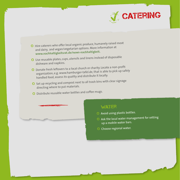



- <sup>O</sup> Use reusable plates, cups, utensils and linens instead of disposable dishware and napkins.
- <sup>O</sup> Donate fresh leftovers to a local church or charity. Locate a non-profit organization, e.g. www.hamburger-tafel.de, that is able to pick up safely handled food, assess its quality and distribute it locally.
- <sup>O</sup> Set up recycling and compost next to all trash bins with clear signage directing where to put materials.
- <sup>O</sup> Distribute reusable water bottles and coffee mugs.

#### **WATER**

- O Avoid using plastic bottles.
- <sup>O</sup> Ask the local water management for setting up a mobile water bars.
- **O** Choose regional water.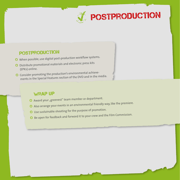

#### **POSTPRODUCTION**

- <sup>O</sup> When possible, use digital post-production workflow systems.
- <sup>O</sup> Distribute promotional materials and electronic press kits (EPKs) online.
- <sup>O</sup> Consider promoting the production's environmental achievements in the Special Features section of the DVD and in the media.

#### **WRAP UP**

- O Award your "greenest" team member or department.
- <sup>O</sup> Also arrange your events in an environmental friendly way, like the premiere.
- <sup>O</sup> Use sustainable shooting for the purpose of promotion.
- <sup>O</sup> Be open for feedback and forward it to your crew and the Film Commission.